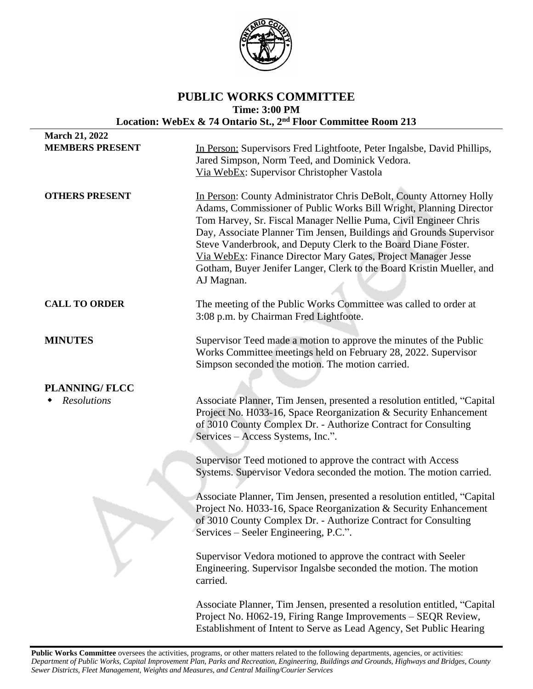

# **PUBLIC WORKS COMMITTEE Time: 3:00 PM Location: WebEx & 74 Ontario St., 2nd Floor Committee Room 213**

| <b>March 21, 2022</b>                      |                                                                                                                                                                                                                                                                                                                                                                                                                                                                                                                |
|--------------------------------------------|----------------------------------------------------------------------------------------------------------------------------------------------------------------------------------------------------------------------------------------------------------------------------------------------------------------------------------------------------------------------------------------------------------------------------------------------------------------------------------------------------------------|
| <b>MEMBERS PRESENT</b>                     | In Person: Supervisors Fred Lightfoote, Peter Ingalsbe, David Phillips,<br>Jared Simpson, Norm Teed, and Dominick Vedora.<br>Via WebEx: Supervisor Christopher Vastola                                                                                                                                                                                                                                                                                                                                         |
| <b>OTHERS PRESENT</b>                      | In Person: County Administrator Chris DeBolt, County Attorney Holly<br>Adams, Commissioner of Public Works Bill Wright, Planning Director<br>Tom Harvey, Sr. Fiscal Manager Nellie Puma, Civil Engineer Chris<br>Day, Associate Planner Tim Jensen, Buildings and Grounds Supervisor<br>Steve Vanderbrook, and Deputy Clerk to the Board Diane Foster.<br>Via WebEx: Finance Director Mary Gates, Project Manager Jesse<br>Gotham, Buyer Jenifer Langer, Clerk to the Board Kristin Mueller, and<br>AJ Magnan. |
| <b>CALL TO ORDER</b>                       | The meeting of the Public Works Committee was called to order at<br>3:08 p.m. by Chairman Fred Lightfoote.                                                                                                                                                                                                                                                                                                                                                                                                     |
| <b>MINUTES</b>                             | Supervisor Teed made a motion to approve the minutes of the Public<br>Works Committee meetings held on February 28, 2022. Supervisor<br>Simpson seconded the motion. The motion carried.                                                                                                                                                                                                                                                                                                                       |
| <b>PLANNING/FLCC</b><br><b>Resolutions</b> | Associate Planner, Tim Jensen, presented a resolution entitled, "Capital<br>Project No. H033-16, Space Reorganization & Security Enhancement<br>of 3010 County Complex Dr. - Authorize Contract for Consulting<br>Services – Access Systems, Inc.".                                                                                                                                                                                                                                                            |
|                                            | Supervisor Teed motioned to approve the contract with Access<br>Systems. Supervisor Vedora seconded the motion. The motion carried.                                                                                                                                                                                                                                                                                                                                                                            |
|                                            | Associate Planner, Tim Jensen, presented a resolution entitled, "Capital<br>Project No. H033-16, Space Reorganization & Security Enhancement<br>of 3010 County Complex Dr. - Authorize Contract for Consulting<br>Services – Seeler Engineering, P.C.".                                                                                                                                                                                                                                                        |
|                                            | Supervisor Vedora motioned to approve the contract with Seeler<br>Engineering. Supervisor Ingalsbe seconded the motion. The motion<br>carried.                                                                                                                                                                                                                                                                                                                                                                 |
|                                            | Associate Planner, Tim Jensen, presented a resolution entitled, "Capital<br>Project No. H062-19, Firing Range Improvements - SEQR Review,<br>Establishment of Intent to Serve as Lead Agency, Set Public Hearing                                                                                                                                                                                                                                                                                               |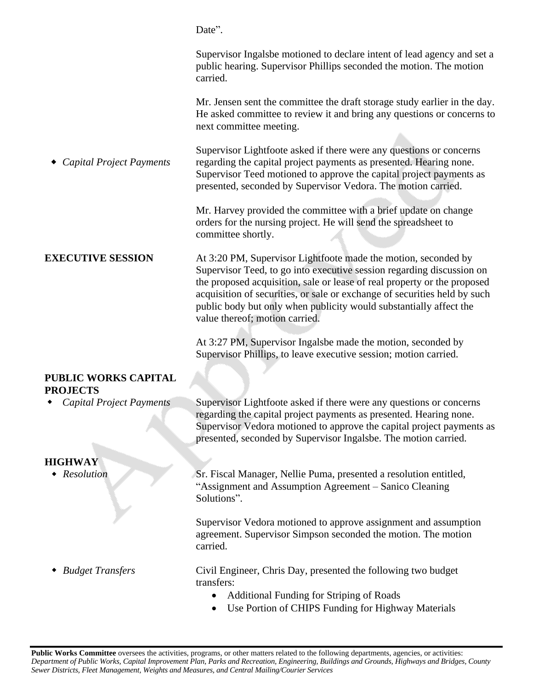*Capital Project Payments* Date". Supervisor Ingalsbe motioned to declare intent of lead agency and set a public hearing. Supervisor Phillips seconded the motion. The motion carried. Mr. Jensen sent the committee the draft storage study earlier in the day. He asked committee to review it and bring any questions or concerns to next committee meeting. Supervisor Lightfoote asked if there were any questions or concerns regarding the capital project payments as presented. Hearing none. Supervisor Teed motioned to approve the capital project payments as presented, seconded by Supervisor Vedora. The motion carried. Mr. Harvey provided the committee with a brief update on change orders for the nursing project. He will send the spreadsheet to committee shortly. **EXECUTIVE SESSION** At 3:20 PM, Supervisor Lightfoote made the motion, seconded by Supervisor Teed, to go into executive session regarding discussion on the proposed acquisition, sale or lease of real property or the proposed acquisition of securities, or sale or exchange of securities held by such public body but only when publicity would substantially affect the value thereof; motion carried. At 3:27 PM, Supervisor Ingalsbe made the motion, seconded by Supervisor Phillips, to leave executive session; motion carried. **PUBLIC WORKS CAPITAL PROJECTS** *Capital Project Payments* Supervisor Lightfoote asked if there were any questions or concerns regarding the capital project payments as presented. Hearing none. Supervisor Vedora motioned to approve the capital project payments as presented, seconded by Supervisor Ingalsbe. The motion carried. **HIGHWAY** *Resolution Budget Transfers* Sr. Fiscal Manager, Nellie Puma, presented a resolution entitled, "Assignment and Assumption Agreement – Sanico Cleaning Solutions". Supervisor Vedora motioned to approve assignment and assumption agreement. Supervisor Simpson seconded the motion. The motion carried. Civil Engineer, Chris Day, presented the following two budget transfers: Additional Funding for Striping of Roads Use Portion of CHIPS Funding for Highway Materials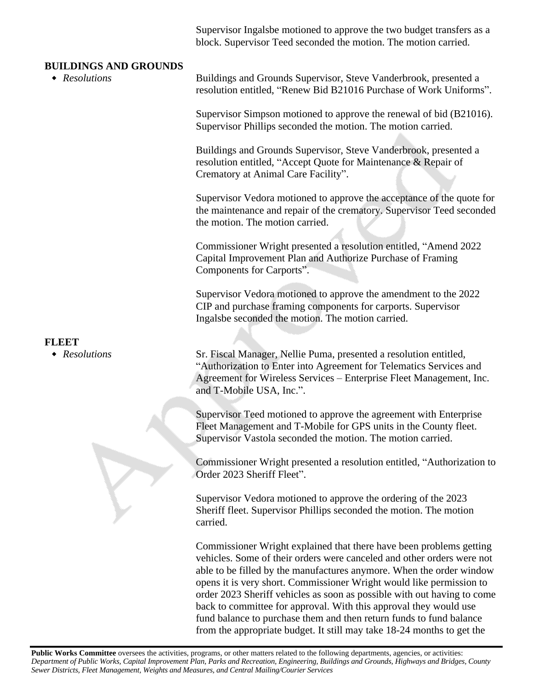Supervisor Ingalsbe motioned to approve the two budget transfers as a block. Supervisor Teed seconded the motion. The motion carried.

### **BUILDINGS AND GROUNDS**

 *Resolutions* Buildings and Grounds Supervisor, Steve Vanderbrook, presented a resolution entitled, "Renew Bid B21016 Purchase of Work Uniforms".

> Supervisor Simpson motioned to approve the renewal of bid (B21016). Supervisor Phillips seconded the motion. The motion carried.

Buildings and Grounds Supervisor, Steve Vanderbrook, presented a resolution entitled, "Accept Quote for Maintenance & Repair of Crematory at Animal Care Facility".

Supervisor Vedora motioned to approve the acceptance of the quote for the maintenance and repair of the crematory. Supervisor Teed seconded the motion. The motion carried.

Commissioner Wright presented a resolution entitled, "Amend 2022 Capital Improvement Plan and Authorize Purchase of Framing Components for Carports".

Supervisor Vedora motioned to approve the amendment to the 2022 CIP and purchase framing components for carports. Supervisor Ingalsbe seconded the motion. The motion carried.

 *Resolutions* Sr. Fiscal Manager, Nellie Puma, presented a resolution entitled, "Authorization to Enter into Agreement for Telematics Services and Agreement for Wireless Services – Enterprise Fleet Management, Inc. and T-Mobile USA, Inc.".

> Supervisor Teed motioned to approve the agreement with Enterprise Fleet Management and T-Mobile for GPS units in the County fleet. Supervisor Vastola seconded the motion. The motion carried.

Commissioner Wright presented a resolution entitled, "Authorization to Order 2023 Sheriff Fleet".

Supervisor Vedora motioned to approve the ordering of the 2023 Sheriff fleet. Supervisor Phillips seconded the motion. The motion carried.

Commissioner Wright explained that there have been problems getting vehicles. Some of their orders were canceled and other orders were not able to be filled by the manufactures anymore. When the order window opens it is very short. Commissioner Wright would like permission to order 2023 Sheriff vehicles as soon as possible with out having to come back to committee for approval. With this approval they would use fund balance to purchase them and then return funds to fund balance from the appropriate budget. It still may take 18-24 months to get the

## **FLEET**